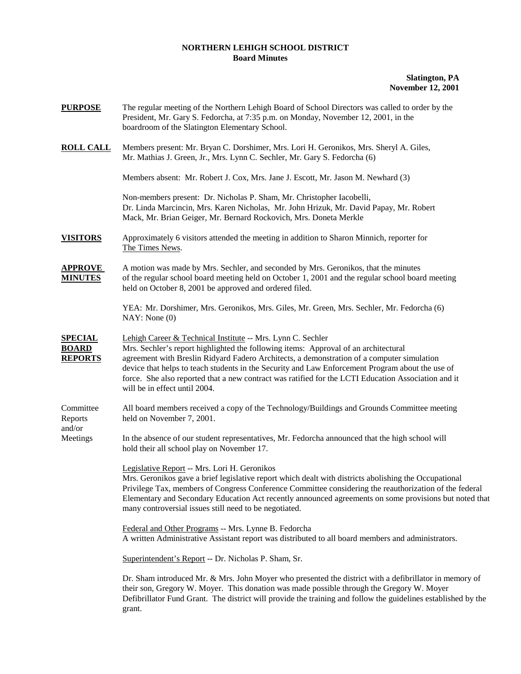## **NORTHERN LEHIGH SCHOOL DISTRICT Board Minutes**

## **Slatington, PA November 12, 2001**

| <b>PURPOSE</b>                                   | The regular meeting of the Northern Lehigh Board of School Directors was called to order by the<br>President, Mr. Gary S. Fedorcha, at 7:35 p.m. on Monday, November 12, 2001, in the<br>boardroom of the Slatington Elementary School.                                                                                                                                                                                                                                                      |
|--------------------------------------------------|----------------------------------------------------------------------------------------------------------------------------------------------------------------------------------------------------------------------------------------------------------------------------------------------------------------------------------------------------------------------------------------------------------------------------------------------------------------------------------------------|
| <u>ROLL CALL</u>                                 | Members present: Mr. Bryan C. Dorshimer, Mrs. Lori H. Geronikos, Mrs. Sheryl A. Giles,<br>Mr. Mathias J. Green, Jr., Mrs. Lynn C. Sechler, Mr. Gary S. Fedorcha (6)                                                                                                                                                                                                                                                                                                                          |
|                                                  | Members absent: Mr. Robert J. Cox, Mrs. Jane J. Escott, Mr. Jason M. Newhard (3)                                                                                                                                                                                                                                                                                                                                                                                                             |
|                                                  | Non-members present: Dr. Nicholas P. Sham, Mr. Christopher Iacobelli,<br>Dr. Linda Marcincin, Mrs. Karen Nicholas, Mr. John Hrizuk, Mr. David Papay, Mr. Robert<br>Mack, Mr. Brian Geiger, Mr. Bernard Rockovich, Mrs. Doneta Merkle                                                                                                                                                                                                                                                         |
| <b>VISITORS</b>                                  | Approximately 6 visitors attended the meeting in addition to Sharon Minnich, reporter for<br>The Times News.                                                                                                                                                                                                                                                                                                                                                                                 |
| <u>APPROVE</u><br><b>MINUTES</b>                 | A motion was made by Mrs. Sechler, and seconded by Mrs. Geronikos, that the minutes<br>of the regular school board meeting held on October 1, 2001 and the regular school board meeting<br>held on October 8, 2001 be approved and ordered filed.                                                                                                                                                                                                                                            |
|                                                  | YEA: Mr. Dorshimer, Mrs. Geronikos, Mrs. Giles, Mr. Green, Mrs. Sechler, Mr. Fedorcha (6)<br>NAY: None(0)                                                                                                                                                                                                                                                                                                                                                                                    |
| <u>SPECIAL</u><br><b>BOARD</b><br><b>REPORTS</b> | Lehigh Career & Technical Institute -- Mrs. Lynn C. Sechler<br>Mrs. Sechler's report highlighted the following items: Approval of an architectural<br>agreement with Breslin Ridyard Fadero Architects, a demonstration of a computer simulation<br>device that helps to teach students in the Security and Law Enforcement Program about the use of<br>force. She also reported that a new contract was ratified for the LCTI Education Association and it<br>will be in effect until 2004. |
| Committee<br>Reports                             | All board members received a copy of the Technology/Buildings and Grounds Committee meeting<br>held on November 7, 2001.                                                                                                                                                                                                                                                                                                                                                                     |
| and/or<br>Meetings                               | In the absence of our student representatives, Mr. Fedorcha announced that the high school will<br>hold their all school play on November 17.                                                                                                                                                                                                                                                                                                                                                |
|                                                  | Legislative Report -- Mrs. Lori H. Geronikos<br>Mrs. Geronikos gave a brief legislative report which dealt with districts abolishing the Occupational<br>Privilege Tax, members of Congress Conference Committee considering the reauthorization of the federal<br>Elementary and Secondary Education Act recently announced agreements on some provisions but noted that<br>many controversial issues still need to be negotiated.                                                          |
|                                                  | Federal and Other Programs -- Mrs. Lynne B. Fedorcha<br>A written Administrative Assistant report was distributed to all board members and administrators.                                                                                                                                                                                                                                                                                                                                   |
|                                                  | Superintendent's Report -- Dr. Nicholas P. Sham, Sr.                                                                                                                                                                                                                                                                                                                                                                                                                                         |
|                                                  | Dr. Sham introduced Mr. & Mrs. John Moyer who presented the district with a defibrillator in memory of<br>their son, Gregory W. Moyer. This donation was made possible through the Gregory W. Moyer<br>Defibrillator Fund Grant. The district will provide the training and follow the guidelines established by the<br>grant.                                                                                                                                                               |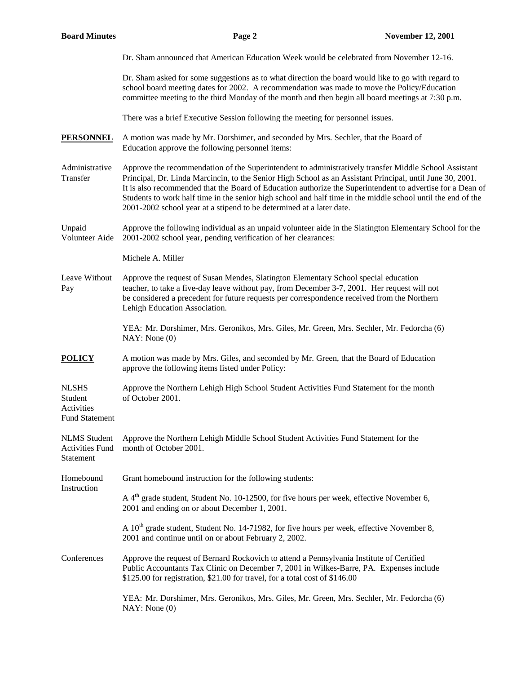| <b>Board Minutes</b>                                           | Page 2                                                                                                                                                                                                                                                                                                                                                                                                                                                                                                                   | <b>November 12, 2001</b> |  |
|----------------------------------------------------------------|--------------------------------------------------------------------------------------------------------------------------------------------------------------------------------------------------------------------------------------------------------------------------------------------------------------------------------------------------------------------------------------------------------------------------------------------------------------------------------------------------------------------------|--------------------------|--|
|                                                                | Dr. Sham announced that American Education Week would be celebrated from November 12-16.                                                                                                                                                                                                                                                                                                                                                                                                                                 |                          |  |
|                                                                | Dr. Sham asked for some suggestions as to what direction the board would like to go with regard to<br>school board meeting dates for 2002. A recommendation was made to move the Policy/Education<br>committee meeting to the third Monday of the month and then begin all board meetings at 7:30 p.m.                                                                                                                                                                                                                   |                          |  |
|                                                                | There was a brief Executive Session following the meeting for personnel issues.                                                                                                                                                                                                                                                                                                                                                                                                                                          |                          |  |
| <b>PERSONNEL</b>                                               | A motion was made by Mr. Dorshimer, and seconded by Mrs. Sechler, that the Board of<br>Education approve the following personnel items:                                                                                                                                                                                                                                                                                                                                                                                  |                          |  |
| Administrative<br>Transfer                                     | Approve the recommendation of the Superintendent to administratively transfer Middle School Assistant<br>Principal, Dr. Linda Marcincin, to the Senior High School as an Assistant Principal, until June 30, 2001.<br>It is also recommended that the Board of Education authorize the Superintendent to advertise for a Dean of<br>Students to work half time in the senior high school and half time in the middle school until the end of the<br>2001-2002 school year at a stipend to be determined at a later date. |                          |  |
| Unpaid<br>Volunteer Aide                                       | Approve the following individual as an unpaid volunteer aide in the Slatington Elementary School for the<br>2001-2002 school year, pending verification of her clearances:                                                                                                                                                                                                                                                                                                                                               |                          |  |
|                                                                | Michele A. Miller                                                                                                                                                                                                                                                                                                                                                                                                                                                                                                        |                          |  |
| Leave Without<br>Pay                                           | Approve the request of Susan Mendes, Slatington Elementary School special education<br>teacher, to take a five-day leave without pay, from December 3-7, 2001. Her request will not<br>be considered a precedent for future requests per correspondence received from the Northern<br>Lehigh Education Association.                                                                                                                                                                                                      |                          |  |
|                                                                | YEA: Mr. Dorshimer, Mrs. Geronikos, Mrs. Giles, Mr. Green, Mrs. Sechler, Mr. Fedorcha (6)<br>NAY: None(0)                                                                                                                                                                                                                                                                                                                                                                                                                |                          |  |
| <b>POLICY</b>                                                  | A motion was made by Mrs. Giles, and seconded by Mr. Green, that the Board of Education<br>approve the following items listed under Policy:                                                                                                                                                                                                                                                                                                                                                                              |                          |  |
| <b>NLSHS</b><br>Student<br>Activities<br><b>Fund Statement</b> | Approve the Northern Lehigh High School Student Activities Fund Statement for the month<br>of October 2001.                                                                                                                                                                                                                                                                                                                                                                                                              |                          |  |
| <b>NLMS</b> Student<br><b>Activities Fund</b><br>Statement     | Approve the Northern Lehigh Middle School Student Activities Fund Statement for the<br>month of October 2001.                                                                                                                                                                                                                                                                                                                                                                                                            |                          |  |
| Homebound<br>Instruction                                       | Grant homebound instruction for the following students:                                                                                                                                                                                                                                                                                                                                                                                                                                                                  |                          |  |
|                                                                | A 4 <sup>th</sup> grade student, Student No. 10-12500, for five hours per week, effective November 6,<br>2001 and ending on or about December 1, 2001.                                                                                                                                                                                                                                                                                                                                                                   |                          |  |
|                                                                | A 10 <sup>th</sup> grade student, Student No. 14-71982, for five hours per week, effective November 8,<br>2001 and continue until on or about February 2, 2002.                                                                                                                                                                                                                                                                                                                                                          |                          |  |
| Conferences                                                    | Approve the request of Bernard Rockovich to attend a Pennsylvania Institute of Certified<br>Public Accountants Tax Clinic on December 7, 2001 in Wilkes-Barre, PA. Expenses include<br>\$125.00 for registration, \$21.00 for travel, for a total cost of \$146.00                                                                                                                                                                                                                                                       |                          |  |
|                                                                | YEA: Mr. Dorshimer, Mrs. Geronikos, Mrs. Giles, Mr. Green, Mrs. Sechler, Mr. Fedorcha (6)<br>NAY: None(0)                                                                                                                                                                                                                                                                                                                                                                                                                |                          |  |